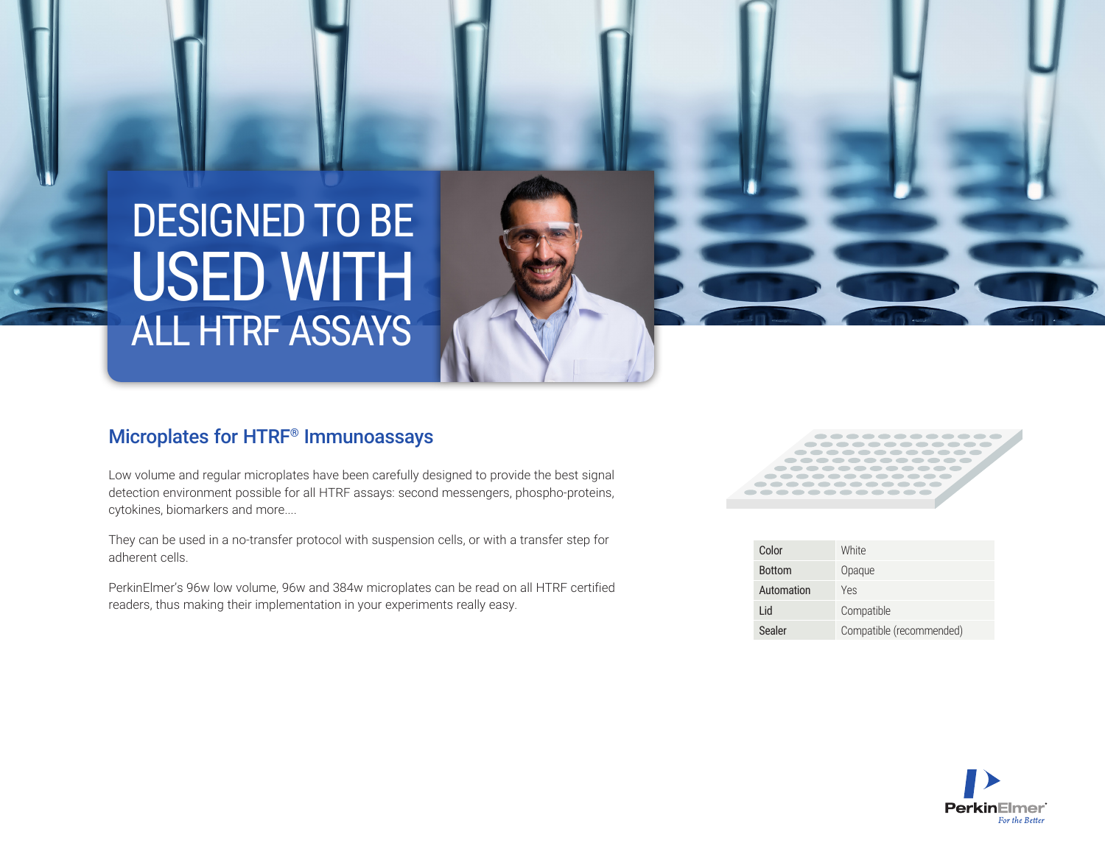# DESIGNED TO BE ALL HTRF ASSAYS USED WITH

## Microplates for HTRF® Immunoassays

Low volume and regular microplates have been carefully designed to provide the best signal detection environment possible for all HTRF assays: second messengers, phospho-proteins, cytokines, biomarkers and more....

They can be used in a no-transfer protocol with suspension cells, or with a transfer step for adherent cells.

PerkinElmer's 96w low volume, 96w and 384w microplates can be read on all HTRF certified readers, thus making their implementation in your experiments really easy.



| Color         | White                    |
|---------------|--------------------------|
| <b>Bottom</b> | Opaque                   |
| Automation    | Yes                      |
| hi I          | Compatible               |
| Sealer        | Compatible (recommended) |